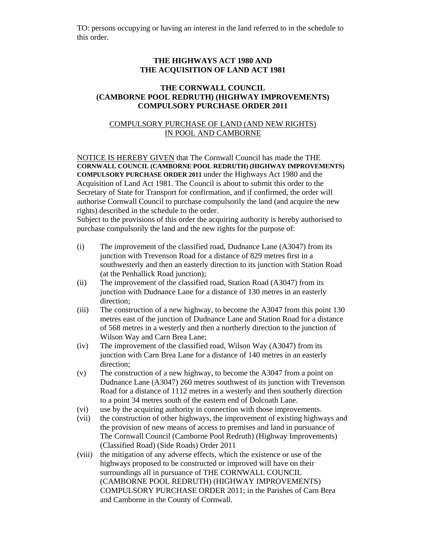TO: persons occupying or having an interest in the land referred to in the schedule to this order.

## **THE HIGHWAYS ACT 1980 AND THE ACQUISITION OF LAND ACT 1981**

## **THE CORNWALL COUNCIL (CAMBORNE POOL REDRUTH) (HIGHWAY IMPROVEMENTS) COMPULSORY PURCHASE ORDER 2011**

## COMPULSORY PURCHASE OF LAND (AND NEW RIGHTS) IN POOL AND CAMBORNE

NOTICE IS HEREBY GIVEN that The Cornwall Council has made the THE **CORNWALL COUNCIL (CAMBORNE POOL REDRUTH) (HIGHWAY IMPROVEMENTS) COMPULSORY PURCHASE ORDER 2011** under the Highways Act 1980 and the Acquisition of Land Act 1981. The Council is about to submit this order to the Secretary of State for Transport for confirmation, and if confirmed, the order will authorise Cornwall Council to purchase compulsorily the land (and acquire the new rights) described in the schedule to the order.

Subject to the provisions of this order the acquiring authority is hereby authorised to purchase compulsorily the land and the new rights for the purpose of:

- (i) The improvement of the classified road, Dudnance Lane (A3047) from its junction with Trevenson Road for a distance of 829 metres first in a southwesterly and then an easterly direction to its junction with Station Road (at the Penhallick Road junction);
- (ii) The improvement of the classified road, Station Road (A3047) from its junction with Dudnance Lane for a distance of 130 metres in an easterly direction;
- (iii) The construction of a new highway, to become the A3047 from this point 130 metres east of the junction of Dudnance Lane and Station Road for a distance of 568 metres in a westerly and then a northerly direction to the junction of Wilson Way and Carn Brea Lane;
- (iv) The improvement of the classified road, Wilson Way (A3047) from its junction with Carn Brea Lane for a distance of 140 metres in an easterly direction;
- (v) The construction of a new highway, to become the A3047 from a point on Dudnance Lane (A3047) 260 metres southwest of its junction with Trevenson Road for a distance of 1112 metres in a westerly and then southerly direction to a point 34 metres south of the eastern end of Dolcoath Lane.
- (vi) use by the acquiring authority in connection with those improvements.
- (vii) the construction of other highways, the improvement of existing highways and the provision of new means of access to premises and land in pursuance of The Cornwall Council (Camborne Pool Redruth) (Highway Improvements) (Classified Road) (Side Roads) Order 2011
- (viii) the mitigation of any adverse effects, which the existence or use of the highways proposed to be constructed or improved will have on their surroundings all in pursuance of THE CORNWALL COUNCIL (CAMBORNE POOL REDRUTH) (HIGHWAY IMPROVEMENTS) COMPULSORY PURCHASE ORDER 2011; in the Parishes of Carn Brea and Camborne in the County of Cornwall.